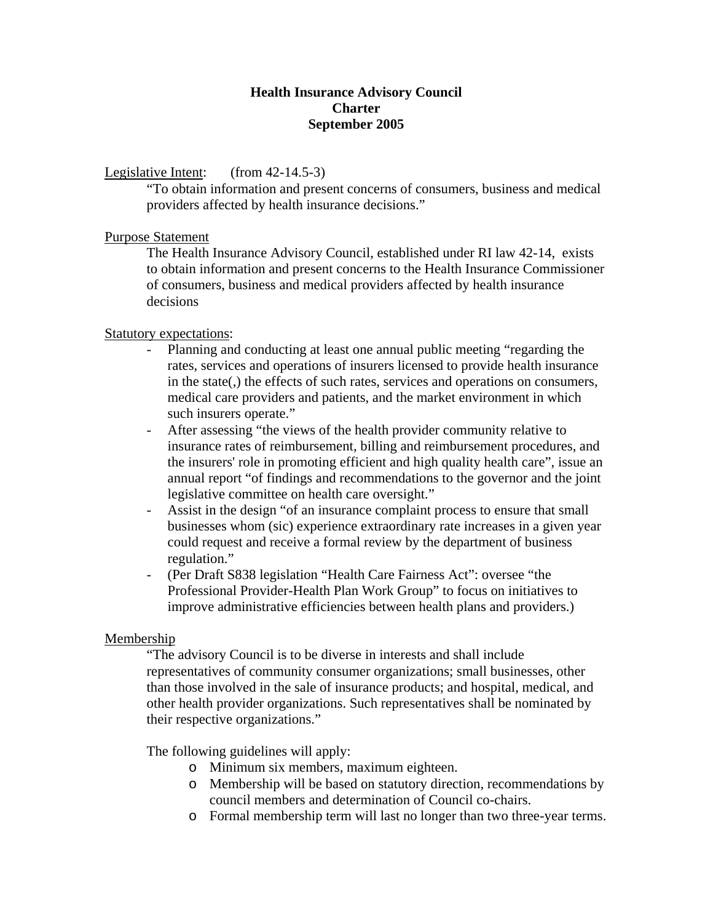### **Health Insurance Advisory Council Charter September 2005**

# Legislative Intent: (from 42-14.5-3)

"To obtain information and present concerns of consumers, business and medical providers affected by health insurance decisions."

## Purpose Statement

The Health Insurance Advisory Council, established under RI law 42-14, exists to obtain information and present concerns to the Health Insurance Commissioner of consumers, business and medical providers affected by health insurance decisions

## Statutory expectations:

- Planning and conducting at least one annual public meeting "regarding the rates, services and operations of insurers licensed to provide health insurance in the state(,) the effects of such rates, services and operations on consumers, medical care providers and patients, and the market environment in which such insurers operate."
- After assessing "the views of the health provider community relative to insurance rates of reimbursement, billing and reimbursement procedures, and the insurers' role in promoting efficient and high quality health care", issue an annual report "of findings and recommendations to the governor and the joint legislative committee on health care oversight."
- Assist in the design "of an insurance complaint process to ensure that small businesses whom (sic) experience extraordinary rate increases in a given year could request and receive a formal review by the department of business regulation."
- (Per Draft S838 legislation "Health Care Fairness Act": oversee "the Professional Provider-Health Plan Work Group" to focus on initiatives to improve administrative efficiencies between health plans and providers.)

### Membership

"The advisory Council is to be diverse in interests and shall include representatives of community consumer organizations; small businesses, other than those involved in the sale of insurance products; and hospital, medical, and other health provider organizations. Such representatives shall be nominated by their respective organizations."

The following guidelines will apply:

- o Minimum six members, maximum eighteen.
- o Membership will be based on statutory direction, recommendations by council members and determination of Council co-chairs.
- o Formal membership term will last no longer than two three-year terms.